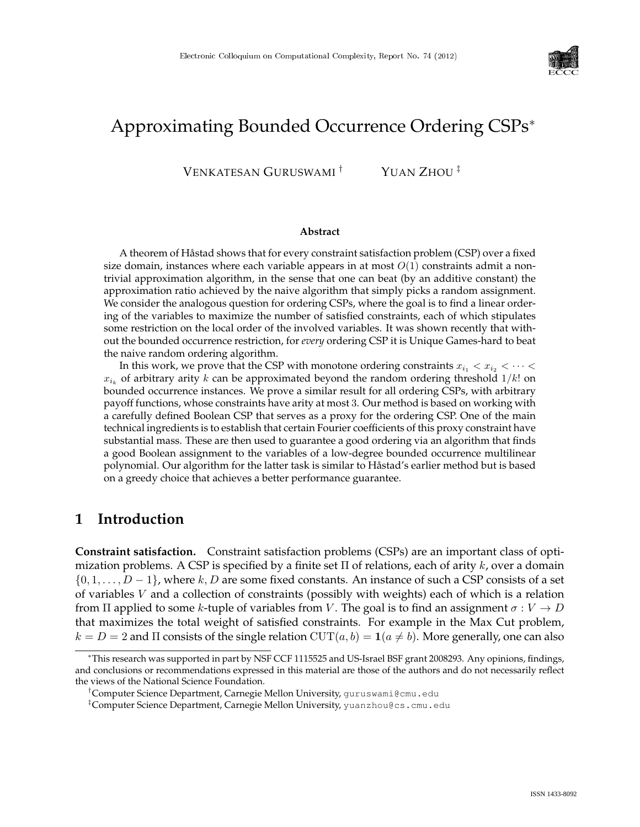

# Approximating Bounded Occurrence Ordering CSPs<sup>∗</sup>

VENKATESAN GURUSWAMI † YUAN ZHOU ‡

#### **Abstract**

A theorem of Håstad shows that for every constraint satisfaction problem (CSP) over a fixed size domain, instances where each variable appears in at most  $O(1)$  constraints admit a nontrivial approximation algorithm, in the sense that one can beat (by an additive constant) the approximation ratio achieved by the naive algorithm that simply picks a random assignment. We consider the analogous question for ordering CSPs, where the goal is to find a linear ordering of the variables to maximize the number of satisfied constraints, each of which stipulates some restriction on the local order of the involved variables. It was shown recently that without the bounded occurrence restriction, for *every* ordering CSP it is Unique Games-hard to beat the naive random ordering algorithm.

In this work, we prove that the CSP with monotone ordering constraints  $x_{i_1} < x_{i_2} < \cdots <$  $x_{i_k}$  of arbitrary arity k can be approximated beyond the random ordering threshold  $1/k!$  on bounded occurrence instances. We prove a similar result for all ordering CSPs, with arbitrary payoff functions, whose constraints have arity at most 3. Our method is based on working with a carefully defined Boolean CSP that serves as a proxy for the ordering CSP. One of the main technical ingredients is to establish that certain Fourier coefficients of this proxy constraint have substantial mass. These are then used to guarantee a good ordering via an algorithm that finds a good Boolean assignment to the variables of a low-degree bounded occurrence multilinear polynomial. Our algorithm for the latter task is similar to Håstad's earlier method but is based on a greedy choice that achieves a better performance guarantee.

### **1 Introduction**

**Constraint satisfaction.** Constraint satisfaction problems (CSPs) are an important class of optimization problems. A CSP is specified by a finite set  $\Pi$  of relations, each of arity k, over a domain  $\{0, 1, \ldots, D-1\}$ , where k, D are some fixed constants. An instance of such a CSP consists of a set of variables  $V$  and a collection of constraints (possibly with weights) each of which is a relation from  $\Pi$  applied to some k-tuple of variables from V. The goal is to find an assignment  $\sigma: V \to D$ that maximizes the total weight of satisfied constraints. For example in the Max Cut problem,  $k = D = 2$  and  $\Pi$  consists of the single relation  $\text{CUT}(a, b) = \mathbf{1}(a \neq b)$ . More generally, one can also

<sup>∗</sup>This research was supported in part by NSF CCF 1115525 and US-Israel BSF grant 2008293. Any opinions, findings, and conclusions or recommendations expressed in this material are those of the authors and do not necessarily reflect the views of the National Science Foundation.

<sup>&</sup>lt;sup>†</sup>Computer Science Department, Carnegie Mellon University, guruswami@cmu.edu

<sup>‡</sup>Computer Science Department, Carnegie Mellon University, yuanzhou@cs.cmu.edu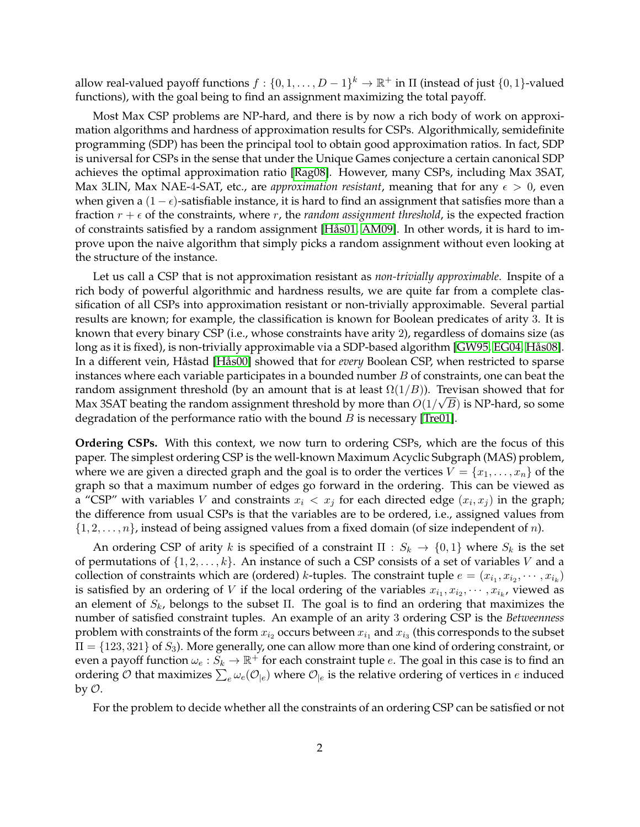<span id="page-1-0"></span>allow real-valued payoff functions  $f: \{0, 1, \ldots, D-1\}^k \to \mathbb{R}^+$  in  $\Pi$  (instead of just  $\{0, 1\}$ -valued functions), with the goal being to find an assignment maximizing the total payoff.

Most Max CSP problems are NP-hard, and there is by now a rich body of work on approximation algorithms and hardness of approximation results for CSPs. Algorithmically, semidefinite programming (SDP) has been the principal tool to obtain good approximation ratios. In fact, SDP is universal for CSPs in the sense that under the Unique Games conjecture a certain canonical SDP achieves the optimal approximation ratio [\[Rag08\]](#page-14-0). However, many CSPs, including Max 3SAT, Max 3LIN, Max NAE-4-SAT, etc., are *approximation resistant*, meaning that for any  $\epsilon > 0$ , even when given a  $(1 - \epsilon)$ -satisfiable instance, it is hard to find an assignment that satisfies more than a fraction  $r + \epsilon$  of the constraints, where r, the *random assignment threshold*, is the expected fraction of constraints satisfied by a random assignment [Hås01, [AM09\]](#page-13-0). In other words, it is hard to improve upon the naive algorithm that simply picks a random assignment without even looking at the structure of the instance.

Let us call a CSP that is not approximation resistant as *non-trivially approximable*. Inspite of a rich body of powerful algorithmic and hardness results, we are quite far from a complete classification of all CSPs into approximation resistant or non-trivially approximable. Several partial results are known; for example, the classification is known for Boolean predicates of arity 3. It is known that every binary CSP (i.e., whose constraints have arity 2), regardless of domains size (as long as it is fixed), is non-trivially approximable via a SDP-based algorithm [\[GW95,](#page-14-2) [EG04,](#page-14-3) Hås08]. In a different vein, Håstad [Hås00] showed that for *every* Boolean CSP, when restricted to sparse instances where each variable participates in a bounded number  $B$  of constraints, one can beat the random assignment threshold (by an amount that is at least  $\Omega(1/B)$ ). Trevisan showed that for Max 3SAT beating the random assignment threshold by more than  $O(1/\sqrt{B})$  is NP-hard, so some degradation of the performance ratio with the bound  $B$  is necessary [\[Tre01\]](#page-14-6).

**Ordering CSPs.** With this context, we now turn to ordering CSPs, which are the focus of this paper. The simplest ordering CSP is the well-known Maximum Acyclic Subgraph (MAS) problem, where we are given a directed graph and the goal is to order the vertices  $V = \{x_1, \ldots, x_n\}$  of the graph so that a maximum number of edges go forward in the ordering. This can be viewed as a "CSP" with variables V and constraints  $x_i < x_j$  for each directed edge  $(x_i, x_j)$  in the graph; the difference from usual CSPs is that the variables are to be ordered, i.e., assigned values from  $\{1, 2, \ldots, n\}$ , instead of being assigned values from a fixed domain (of size independent of n).

An ordering CSP of arity k is specified of a constraint  $\Pi : S_k \to \{0,1\}$  where  $S_k$  is the set of permutations of  $\{1, 2, \ldots, k\}$ . An instance of such a CSP consists of a set of variables V and a collection of constraints which are (ordered) k-tuples. The constraint tuple  $e = (x_{i_1}, x_{i_2}, \dots, x_{i_k})$ is satisfied by an ordering of V if the local ordering of the variables  $x_{i_1}, x_{i_2}, \cdots, x_{i_k}$ , viewed as an element of  $S_k$ , belongs to the subset  $\Pi$ . The goal is to find an ordering that maximizes the number of satisfied constraint tuples. An example of an arity 3 ordering CSP is the *Betweenness* problem with constraints of the form  $x_{i_2}$  occurs between  $x_{i_1}$  and  $x_{i_3}$  (this corresponds to the subset  $\Pi = \{123, 321\}$  of  $S_3$ ). More generally, one can allow more than one kind of ordering constraint, or even a payoff function  $\omega_e: S_k \to \mathbb{R}^+$  for each constraint tuple  $e.$  The goal in this case is to find an ordering  $\cal O$  that maximizes  $\sum_e\omega_e({\cal O}_{|e})$  where  ${\cal O}_{|e}$  is the relative ordering of vertices in  $e$  induced by  $\mathcal{O}$ .

For the problem to decide whether all the constraints of an ordering CSP can be satisfied or not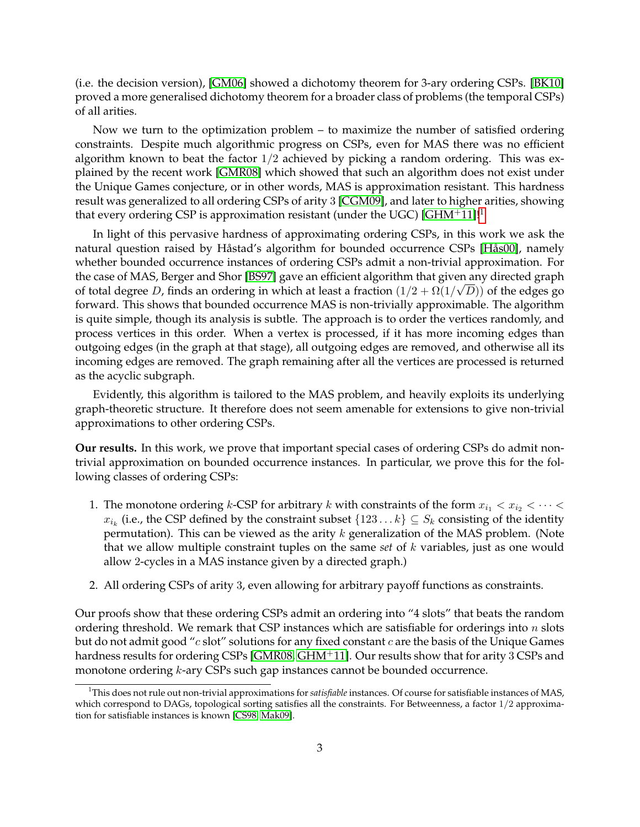<span id="page-2-1"></span>(i.e. the decision version), [\[GM06\]](#page-14-7) showed a dichotomy theorem for 3-ary ordering CSPs. [\[BK10\]](#page-13-1) proved a more generalised dichotomy theorem for a broader class of problems (the temporal CSPs) of all arities.

Now we turn to the optimization problem – to maximize the number of satisfied ordering constraints. Despite much algorithmic progress on CSPs, even for MAS there was no efficient algorithm known to beat the factor  $1/2$  achieved by picking a random ordering. This was explained by the recent work [\[GMR08\]](#page-14-8) which showed that such an algorithm does not exist under the Unique Games conjecture, or in other words, MAS is approximation resistant. This hardness result was generalized to all ordering CSPs of arity 3 [\[CGM09\]](#page-13-2), and later to higher arities, showing that every ordering CSP is approximation resistant (under the UGC) [\[GHM](#page-14-9)+[1](#page-2-0)1]<sup>[1</sup>

In light of this pervasive hardness of approximating ordering CSPs, in this work we ask the natural question raised by Håstad's algorithm for bounded occurrence CSPs [Hås00], namely whether bounded occurrence instances of ordering CSPs admit a non-trivial approximation. For the case of MAS, Berger and Shor [\[BS97\]](#page-13-3) gave an efficient algorithm that given any directed graph √ of total degree  $D$ , finds an ordering in which at least a fraction  $(1/2 + \Omega(1/\sqrt{D}))$  of the edges go forward. This shows that bounded occurrence MAS is non-trivially approximable. The algorithm is quite simple, though its analysis is subtle. The approach is to order the vertices randomly, and process vertices in this order. When a vertex is processed, if it has more incoming edges than outgoing edges (in the graph at that stage), all outgoing edges are removed, and otherwise all its incoming edges are removed. The graph remaining after all the vertices are processed is returned as the acyclic subgraph.

Evidently, this algorithm is tailored to the MAS problem, and heavily exploits its underlying graph-theoretic structure. It therefore does not seem amenable for extensions to give non-trivial approximations to other ordering CSPs.

**Our results.** In this work, we prove that important special cases of ordering CSPs do admit nontrivial approximation on bounded occurrence instances. In particular, we prove this for the following classes of ordering CSPs:

- 1. The monotone ordering k-CSP for arbitrary k with constraints of the form  $x_{i_1} < x_{i_2} < \cdots <$  $x_{i_k}$  (i.e., the CSP defined by the constraint subset  $\{123\dots k\}\subseteq S_k$  consisting of the identity permutation). This can be viewed as the arity  $k$  generalization of the MAS problem. (Note that we allow multiple constraint tuples on the same *set* of k variables, just as one would allow 2-cycles in a MAS instance given by a directed graph.)
- 2. All ordering CSPs of arity 3, even allowing for arbitrary payoff functions as constraints.

Our proofs show that these ordering CSPs admit an ordering into "4 slots" that beats the random ordering threshold. We remark that CSP instances which are satisfiable for orderings into  $n$  slots but do not admit good "c slot" solutions for any fixed constant c are the basis of the Unique Games hardness results for ordering CSPs [\[GMR08,](#page-14-8) [GHM](#page-14-9)<sup>+</sup>11]. Our results show that for arity 3 CSPs and monotone ordering k-ary CSPs such gap instances cannot be bounded occurrence.

<span id="page-2-0"></span><sup>1</sup>This does not rule out non-trivial approximations for *satisfiable* instances. Of course for satisfiable instances of MAS, which correspond to DAGs, topological sorting satisfies all the constraints. For Betweenness, a factor 1/2 approximation for satisfiable instances is known [\[CS98,](#page-13-4) [Mak09\]](#page-14-10).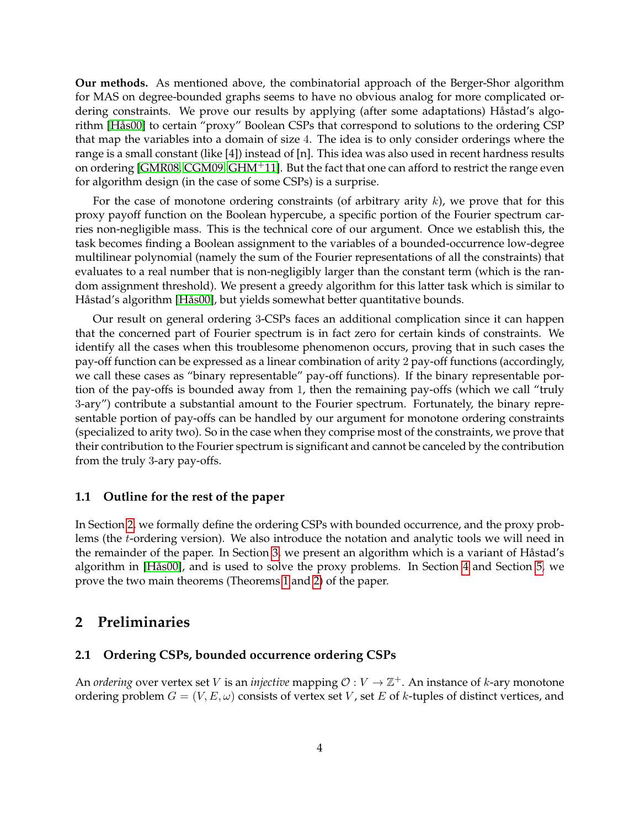<span id="page-3-1"></span>**Our methods.** As mentioned above, the combinatorial approach of the Berger-Shor algorithm for MAS on degree-bounded graphs seems to have no obvious analog for more complicated ordering constraints. We prove our results by applying (after some adaptations) Håstad's algorithm [Hås00] to certain "proxy" Boolean CSPs that correspond to solutions to the ordering CSP that map the variables into a domain of size 4. The idea is to only consider orderings where the range is a small constant (like [4]) instead of [n]. This idea was also used in recent hardness results on ordering [\[GMR08,](#page-14-8) [CGM09,](#page-13-2) [GHM](#page-14-9)+11]. But the fact that one can afford to restrict the range even for algorithm design (in the case of some CSPs) is a surprise.

For the case of monotone ordering constraints (of arbitrary arity  $k$ ), we prove that for this proxy payoff function on the Boolean hypercube, a specific portion of the Fourier spectrum carries non-negligible mass. This is the technical core of our argument. Once we establish this, the task becomes finding a Boolean assignment to the variables of a bounded-occurrence low-degree multilinear polynomial (namely the sum of the Fourier representations of all the constraints) that evaluates to a real number that is non-negligibly larger than the constant term (which is the random assignment threshold). We present a greedy algorithm for this latter task which is similar to Håstad's algorithm [Hås00], but yields somewhat better quantitative bounds.

Our result on general ordering 3-CSPs faces an additional complication since it can happen that the concerned part of Fourier spectrum is in fact zero for certain kinds of constraints. We identify all the cases when this troublesome phenomenon occurs, proving that in such cases the pay-off function can be expressed as a linear combination of arity 2 pay-off functions (accordingly, we call these cases as "binary representable" pay-off functions). If the binary representable portion of the pay-offs is bounded away from 1, then the remaining pay-offs (which we call "truly 3-ary") contribute a substantial amount to the Fourier spectrum. Fortunately, the binary representable portion of pay-offs can be handled by our argument for monotone ordering constraints (specialized to arity two). So in the case when they comprise most of the constraints, we prove that their contribution to the Fourier spectrum is significant and cannot be canceled by the contribution from the truly 3-ary pay-offs.

#### **1.1 Outline for the rest of the paper**

In Section [2,](#page-3-0) we formally define the ordering CSPs with bounded occurrence, and the proxy problems (the t-ordering version). We also introduce the notation and analytic tools we will need in the remainder of the paper. In Section [3,](#page-5-0) we present an algorithm which is a variant of Håstad's algorithm in [Hås00], and is used to solve the proxy problems. In Section [4](#page-7-0) and Section [5,](#page-10-0) we prove the two main theorems (Theorems [1](#page-7-1) and [2\)](#page-10-1) of the paper.

#### <span id="page-3-0"></span>**2 Preliminaries**

#### **2.1 Ordering CSPs, bounded occurrence ordering CSPs**

An *ordering* over vertex set V is an *injective* mapping  $\mathcal{O}: V \to \mathbb{Z}^+$ . An instance of k-ary monotone ordering problem  $G = (V, E, \omega)$  consists of vertex set V, set E of k-tuples of distinct vertices, and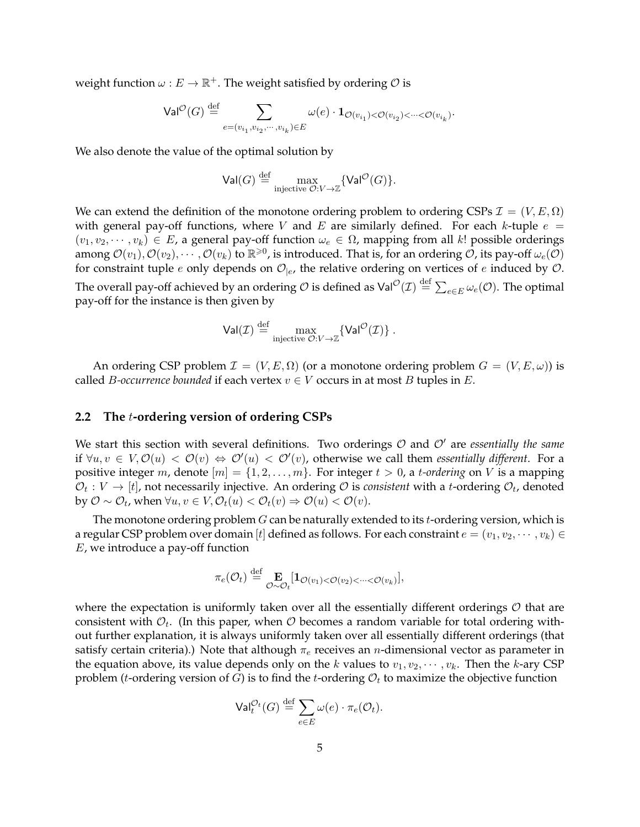weight function  $\omega: E \to \mathbb{R}^+$ . The weight satisfied by ordering  $\mathcal O$  is

$$
\mathsf{Val}^{\mathcal{O}}(G) \stackrel{\mathrm{def}}{=} \sum_{e = (v_{i_1}, v_{i_2}, \cdots, v_{i_k}) \in E} \omega(e) \cdot \mathbf{1}_{\mathcal{O}(v_{i_1}) < \mathcal{O}(v_{i_2}) < \cdots < \mathcal{O}(v_{i_k})}.
$$

We also denote the value of the optimal solution by

$$
\mathsf{Val}(G) \stackrel{\text{def}}{=} \max_{\text{injective } \mathcal{O}: V \to \mathbb{Z}} \{ \mathsf{Val}^{\mathcal{O}}(G) \}.
$$

We can extend the definition of the monotone ordering problem to ordering CSPs  $\mathcal{I} = (V, E, \Omega)$ with general pay-off functions, where V and E are similarly defined. For each k-tuple  $e =$  $(v_1, v_2, \dots, v_k) \in E$ , a general pay-off function  $\omega_e \in \Omega$ , mapping from all k! possible orderings among  $\mathcal{O}(v_1)$ ,  $\mathcal{O}(v_2),\cdots,\mathcal{O}(v_k)$  to  $\mathbb{R}^{\geqslant 0}$ , is introduced. That is, for an ordering  $\mathcal{O}$ , its pay-off  $\omega_e(\breve{\mathcal{O}})$ for constraint tuple e only depends on  $\mathcal{O}_{|e}$ , the relative ordering on vertices of e induced by  $\mathcal{O}$ . The overall pay-off achieved by an ordering  ${\cal O}$  is defined as Val $^{\cal O}({\cal I})\stackrel{\rm def}{=} \sum_{e\in E}\omega_e({\cal O}).$  The optimal pay-off for the instance is then given by

$$
\mathsf{Val}(\mathcal{I}) \stackrel{\text{def}}{=} \max_{\text{injective } \mathcal{O}: V \to \mathbb{Z}} \{ \mathsf{Val}^{\mathcal{O}}(\mathcal{I}) \}.
$$

An ordering CSP problem  $\mathcal{I} = (V, E, \Omega)$  (or a monotone ordering problem  $G = (V, E, \omega)$ ) is called *B*-occurrence bounded if each vertex  $v \in V$  occurs in at most *B* tuples in *E*.

#### **2.2 The** t**-ordering version of ordering CSPs**

We start this section with several definitions. Two orderings  $O$  and  $O'$  are *essentially the same* if  $\forall u, v \in V, \mathcal{O}(u) < \mathcal{O}(v) \Leftrightarrow \mathcal{O}'(u) < \mathcal{O}'(v)$ , otherwise we call them *essentially different*. For a positive integer m, denote  $[m] = \{1, 2, ..., m\}$ . For integer  $t > 0$ , a *t-ordering* on V is a mapping  $\mathcal{O}_t:V\to[t]$ , not necessarily injective. An ordering  $\mathcal O$  is *consistent* with a *t*-ordering  $\mathcal O_t$ , denoted by  $\mathcal{O} \sim \mathcal{O}_t$ , when  $\forall u, v \in V$ ,  $\mathcal{O}_t(u) < \mathcal{O}_t(v) \Rightarrow \mathcal{O}(u) < \mathcal{O}(v)$ .

The monotone ordering problem  $G$  can be naturally extended to its  $t$ -ordering version, which is a regular CSP problem over domain [t] defined as follows. For each constraint  $e = (v_1, v_2, \dots, v_k) \in$ E, we introduce a pay-off function

$$
\pi_e(\mathcal{O}_t) \stackrel{\text{def}}{=} \mathop{\mathbf{E}}_{\mathcal{O}\sim\mathcal{O}_t}[\mathbf{1}_{\mathcal{O}(v_1)<\mathcal{O}(v_2)<\cdots<\mathcal{O}(v_k)}],
$$

where the expectation is uniformly taken over all the essentially different orderings  $\mathcal O$  that are consistent with  $\mathcal{O}_t$ . (In this paper, when  $\mathcal O$  becomes a random variable for total ordering without further explanation, it is always uniformly taken over all essentially different orderings (that satisfy certain criteria).) Note that although  $\pi_e$  receives an *n*-dimensional vector as parameter in the equation above, its value depends only on the k values to  $v_1, v_2, \dots, v_k$ . Then the k-ary CSP problem (*t*-ordering version of G) is to find the *t*-ordering  $\mathcal{O}_t$  to maximize the objective function

$$
\mathsf{Val}^{\mathcal{O}_t}_t(G) \stackrel{\text{def}}{=} \sum_{e \in E} \omega(e) \cdot \pi_e(\mathcal{O}_t).
$$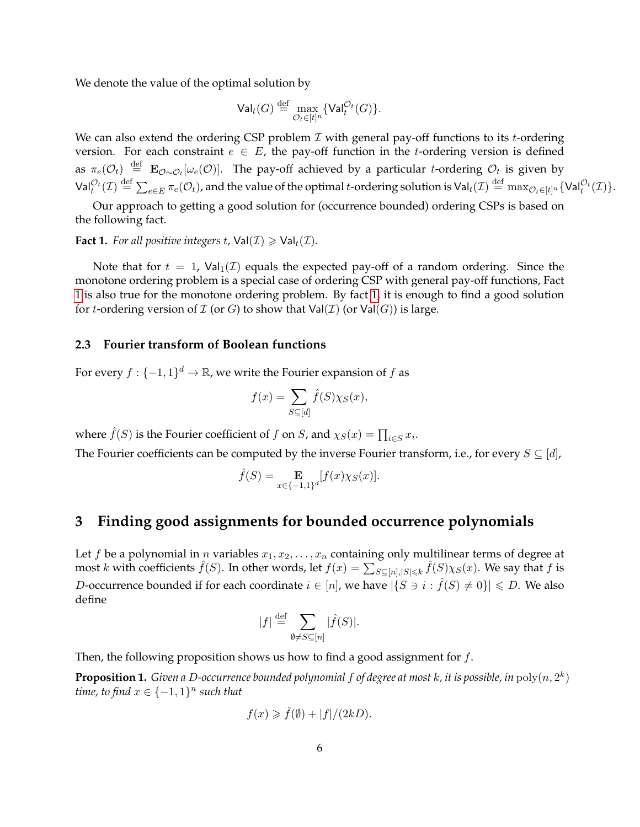We denote the value of the optimal solution by

$$
\mathsf{Val}_t(G) \stackrel{\text{def}}{=} \max_{\mathcal{O}_t \in [t]^n} \{ \mathsf{Val}_t^{\mathcal{O}_t}(G) \}.
$$

We can also extend the ordering CSP problem  $I$  with general pay-off functions to its  $t$ -ordering version. For each constraint  $e \in E$ , the pay-off function in the t-ordering version is defined as  $\pi_e(\mathcal{O}_t)$   $\stackrel{\rm def}{=} \mathbf{E}_{\mathcal{O}\sim\mathcal{O}_t}[\omega_e(\mathcal{O})].$  The pay-off achieved by a particular  $t$ -ordering  $\mathcal{O}_t$  is given by  $\mathsf{Val}^{\mathcal{O}_t}_t(\mathcal{I}) \stackrel{\text{def}}{=} \sum_{e \in E} \pi_e(\mathcal{O}_t)$ , and the value of the optimal  $t$ -ordering solution is  $\mathsf{Val}_t(\mathcal{I}) \stackrel{\text{def}}{=} \max_{\mathcal{O}_t \in [t]^n} \{\mathsf{Val}^{\mathcal{O}_t}_t(\mathcal{I})\}.$ 

Our approach to getting a good solution for (occurrence bounded) ordering CSPs is based on the following fact.

<span id="page-5-1"></span>**Fact 1.** For all positive integers t,  $Val(\mathcal{I}) \geq Val_t(\mathcal{I})$ .

Note that for  $t = 1$ , Val<sub>1</sub>(*I*) equals the expected pay-off of a random ordering. Since the monotone ordering problem is a special case of ordering CSP with general pay-off functions, Fact [1](#page-5-1) is also true for the monotone ordering problem. By fact [1,](#page-5-1) it is enough to find a good solution for *t*-ordering version of  $\mathcal I$  (or  $G$ ) to show that  $Val(\mathcal I)$  (or  $Val(G)$ ) is large.

#### **2.3 Fourier transform of Boolean functions**

For every  $f: \{-1,1\}^d \to \mathbb{R}$ , we write the Fourier expansion of  $f$  as

$$
f(x) = \sum_{S \subseteq [d]} \hat{f}(S) \chi_S(x),
$$

where  $\hat{f}(S)$  is the Fourier coefficient of  $f$  on  $S$ , and  $\chi_S(x) = \prod_{i \in S} x_i$ .

The Fourier coefficients can be computed by the inverse Fourier transform, i.e., for every  $S \subseteq [d]$ ,

$$
\hat{f}(S) = \mathop{\mathbf{E}}_{x \in \{-1,1\}^d} [f(x) \chi_S(x)].
$$

### <span id="page-5-0"></span>**3 Finding good assignments for bounded occurrence polynomials**

Let f be a polynomial in n variables  $x_1, x_2, \ldots, x_n$  containing only multilinear terms of degree at most k with coefficients  $\hat{f}(S)$ . In other words, let  $f(x) = \sum_{S \subseteq [n], |S| \leq k} \hat{f}(S) \chi_S(x)$ . We say that f is D-occurrence bounded if for each coordinate  $i \in [n]$ , we have  $|\{S \ni i : \hat{f}(S) \neq 0\}| \leq D$ . We also define

$$
|f| \stackrel{\text{def}}{=} \sum_{\emptyset \neq S \subseteq [n]} |\hat{f}(S)|.
$$

Then, the following proposition shows us how to find a good assignment for  $f$ .

<span id="page-5-2"></span>**Proposition 1.** Given a D-occurrence bounded polynomial  $f$  of degree at most  $k$ , it is possible, in  $\mathrm{poly}(n, 2^k)$ *time, to find*  $x \in \{-1,1\}^n$  *such that* 

$$
f(x) \geq \hat{f}(\emptyset) + |f|/(2kD).
$$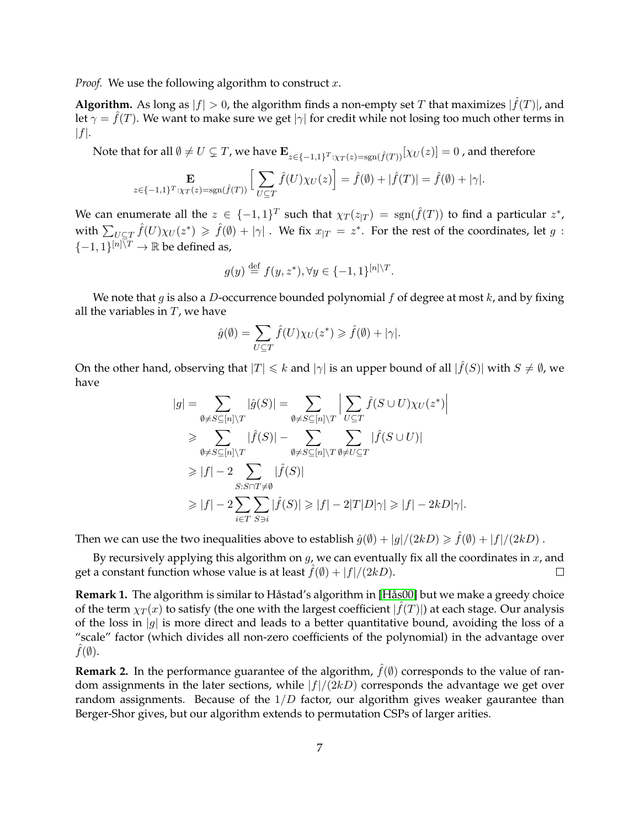<span id="page-6-0"></span>*Proof.* We use the following algorithm to construct x.

**Algorithm.** As long as  $|f| > 0$ , the algorithm finds a non-empty set  $T$  that maximizes  $|\hat{f}(T)|$ , and let  $\gamma = \hat{f}(T)$ . We want to make sure we get  $|\gamma|$  for credit while not losing too much other terms in  $|f|.$ 

Note that for all  $\emptyset \neq U\subsetneq T$ , we have  ${\bf E}_{z\in\{-1,1\}^T:\chi_T(z)=\text{sgn}(\hat{f}(T))}[\chi_U(z)]=0$  , and therefore

$$
\mathop{\mathbf{E}}_{z \in \{-1,1\}^T: \chi_T(z) = \text{sgn}(\hat{f}(T))} \left[ \sum_{U \subseteq T} \hat{f}(U) \chi_U(z) \right] = \hat{f}(\emptyset) + |\hat{f}(T)| = \hat{f}(\emptyset) + |\gamma|.
$$

We can enumerate all the  $z \in \{-1,1\}^T$  such that  $\chi_T(z_{|T}) \, = \, \text{sgn}(\hat{f}(T))$  to find a particular  $z^*$ , with  $\sum_{U\subseteq T}\hat{f}(U)\chi_U(z^*)\,\geqslant\,\hat{f}(\emptyset)+|\gamma|$  . We fix  $x_{|T}\,=\,z^*.$  For the rest of the coordinates, let  $g$  :  $\{-1,1\}^{[n]\setminus T}\to\mathbb{R}$  be defined as,

$$
g(y) \stackrel{\text{def}}{=} f(y, z^*), \forall y \in \{-1, 1\}^{[n] \setminus T}.
$$

We note that g is also a D-occurrence bounded polynomial f of degree at most  $k$ , and by fixing all the variables in  $T$ , we have

$$
\hat{g}(\emptyset) = \sum_{U \subseteq T} \hat{f}(U) \chi_U(z^*) \geq \hat{f}(\emptyset) + |\gamma|.
$$

On the other hand, observing that  $|T|\leqslant k$  and  $|\gamma|$  is an upper bound of all  $|\hat{f}(S)|$  with  $S\neq \emptyset$ , we have

$$
|g| = \sum_{\emptyset \neq S \subseteq [n] \setminus T} |\hat{g}(S)| = \sum_{\emptyset \neq S \subseteq [n] \setminus T} \left| \sum_{U \subseteq T} \hat{f}(S \cup U) \chi_U(z^*) \right|
$$
  
\n
$$
\geqslant \sum_{\emptyset \neq S \subseteq [n] \setminus T} |\hat{f}(S)| - \sum_{\emptyset \neq S \subseteq [n] \setminus T} \sum_{\emptyset \neq U \subseteq T} |\hat{f}(S \cup U)|
$$
  
\n
$$
\geqslant |f| - 2 \sum_{S: S \cap T \neq \emptyset} |\hat{f}(S)|
$$
  
\n
$$
\geqslant |f| - 2 \sum_{i \in T} \sum_{S \ni i} |\hat{f}(S)| \geqslant |f| - 2|T|D|\gamma| \geqslant |f| - 2kD|\gamma|.
$$

Then we can use the two inequalities above to establish  $\hat{g}(\emptyset) + |g|/(2kD) \ge \hat{f}(\emptyset) + |f|/(2kD)$ .

By recursively applying this algorithm on  $g$ , we can eventually fix all the coordinates in  $x$ , and get a constant function whose value is at least  $\hat{f}(\emptyset) + |f|/(2kD)$ .  $\Box$ 

**Remark 1.** The algorithm is similar to Håstad's algorithm in [Hås00] but we make a greedy choice of the term  $\chi_T(x)$  to satisfy (the one with the largest coefficient  $|\hat{f}(T)|$ ) at each stage. Our analysis of the loss in |g| is more direct and leads to a better quantitative bound, avoiding the loss of a "scale" factor (which divides all non-zero coefficients of the polynomial) in the advantage over  $f(\emptyset)$ .

**Remark 2.** In the performance guarantee of the algorithm,  $\hat{f}(\emptyset)$  corresponds to the value of random assignments in the later sections, while  $|f|/(2kD)$  corresponds the advantage we get over random assignments. Because of the  $1/D$  factor, our algorithm gives weaker gaurantee than Berger-Shor gives, but our algorithm extends to permutation CSPs of larger arities.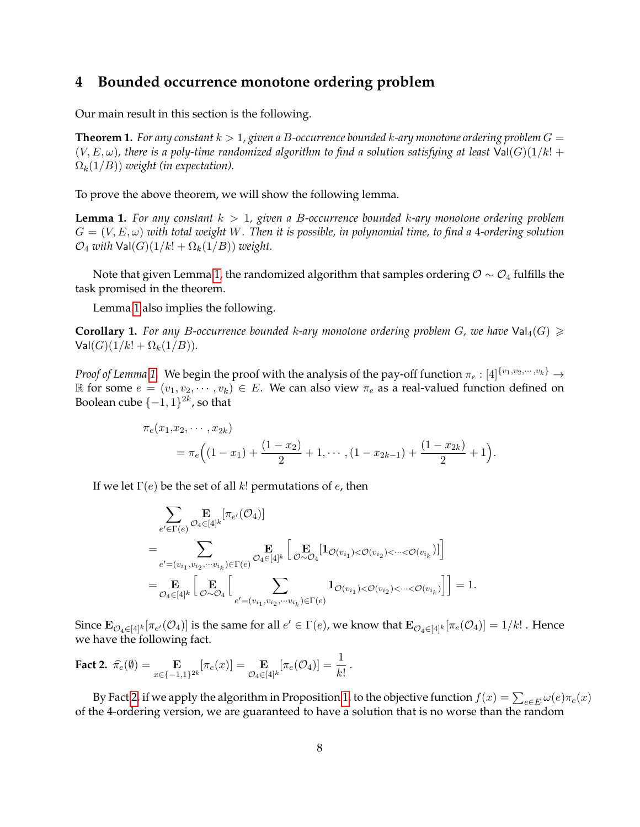### <span id="page-7-0"></span>**4 Bounded occurrence monotone ordering problem**

Our main result in this section is the following.

<span id="page-7-1"></span>**Theorem 1.** For any constant  $k > 1$ , given a B-occurrence bounded k-ary monotone ordering problem  $G =$  $(V, E, \omega)$ , there is a poly-time randomized algorithm to find a solution satisfying at least  $Val(G)(1/k! +$  $\Omega_k(1/B)$ ) *weight (in expectation)*.

To prove the above theorem, we will show the following lemma.

<span id="page-7-2"></span>**Lemma 1.** *For any constant* k > 1*, given a* B*-occurrence bounded* k*-ary monotone ordering problem*  $G = (V, E, \omega)$  *with total weight W. Then it is possible, in polynomial time, to find a 4-ordering solution*  $\mathcal{O}_4$  *with*  $\mathsf{Val}(G)(1/k! + \Omega_k(1/B))$  *weight.* 

Note that given Lemma [1,](#page-7-2) the randomized algorithm that samples ordering  $O \sim O_4$  fulfills the task promised in the theorem.

Lemma [1](#page-7-2) also implies the following.

**Corollary 1.** For any B-occurrence bounded k-ary monotone ordering problem G, we have  $Val_4(G) \geq$  $Val(G)(1/k! + \Omega_k(1/B)).$ 

*Proof of Lemma* [1.](#page-7-2) We begin the proof with the analysis of the pay-off function  $\pi_e : [4]^{v_1, v_2, \dots, v_k} \rightarrow$ R for some  $e = (v_1, v_2, \dots, v_k) \in E$ . We can also view  $\pi_e$  as a real-valued function defined on Boolean cube  $\{-1,1\}^{2k}$ , so that

$$
\pi_e(x_1, x_2, \cdots, x_{2k})
$$
  
=  $\pi_e\Big((1-x_1) + \frac{(1-x_2)}{2} + 1, \cdots, (1-x_{2k-1}) + \frac{(1-x_{2k})}{2} + 1\Big).$ 

If we let  $\Gamma(e)$  be the set of all k! permutations of e, then

$$
\begin{aligned} & \sum_{e' \in \Gamma(e)} \mathbf{E}_{\mathbf{C} \in \mathbb{C}}[\sigma_{4} \in [4]^k} [\pi_{e'}(\mathcal{O}_4)] \\ & = \sum_{e' = (v_{i_1}, v_{i_2}, \cdots v_{i_k}) \in \Gamma(e)} \mathbf{E}_{\mathcal{O}_4 \in [4]^k} \left[ \underset{\mathcal{O} \sim \mathcal{O}_4}{\mathbf{E}} \mathbf{E}_{\mathcal{O}_4} [\mathbf{1}_{\mathcal{O}(v_{i_1}) < \mathcal{O}(v_{i_2}) < \cdots < \mathcal{O}(v_{i_k})}] \right] \\ & = \mathbf{E}_{\mathcal{O}_4 \in [4]^k} \left[ \underset{\mathcal{O} \sim \mathcal{O}_4}{\mathbf{E}} \left[ \underset{e' = (v_{i_1}, v_{i_2}, \cdots v_{i_k}) \in \Gamma(e)}{\sum_{e' = (v_{i_1}, v_{i_2}, \cdots, v_{i_k}) \in \Gamma(e)}} \mathbf{1}_{\mathcal{O}(v_{i_1}) < \mathcal{O}(v_{i_2}) < \cdots < \mathcal{O}(v_{i_k})} \right] \right] = 1. \end{aligned}
$$

Since  $\mathbf{E}_{\mathcal{O}_4 \in [4]^k}[\pi_{e'}(\mathcal{O}_4)]$  is the same for all  $e' \in \Gamma(e)$ , we know that  $\mathbf{E}_{\mathcal{O}_4 \in [4]^k}[\pi_e(\mathcal{O}_4)] = 1/k!$  . Hence we have the following fact.

<span id="page-7-3"></span> $\textbf{Fact 2.} \ \ \widehat{\pi_e}(\emptyset) = \mathop{\mathbf{E}}_{x \in \{-1,1\}^{2k}}[\pi_e(x)] = \mathop{\mathbf{E}}_{\mathcal{O}_4 \in [4]^k}[\pi_e(\mathcal{O}_4)] = \frac{1}{k!} \ .$ 

By Fact [2,](#page-7-3) if we apply the algorithm in Proposition [1,](#page-5-2) to the objective function  $f(x)=\sum_{e\in E}\omega(e)\pi_e(x)$ of the 4-ordering version, we are guaranteed to have a solution that is no worse than the random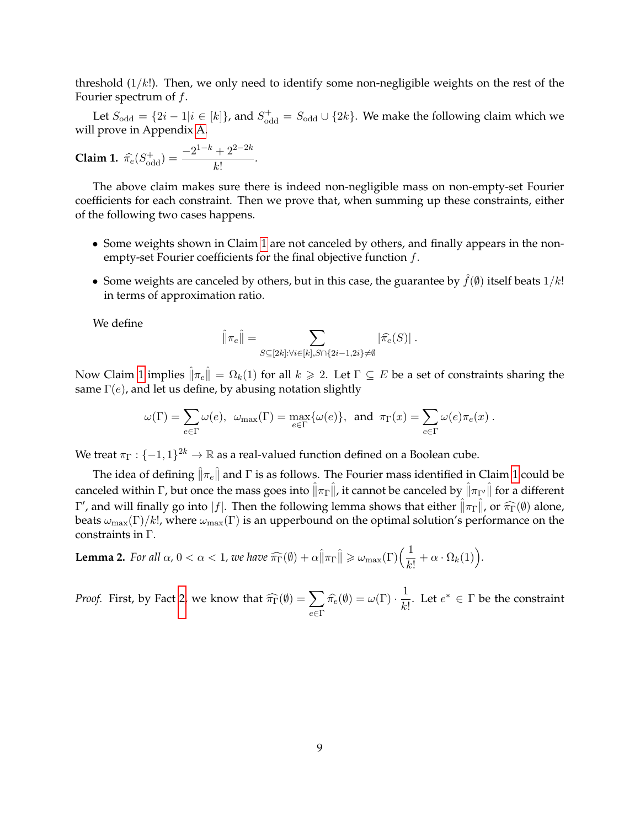threshold  $(1/k!)$ . Then, we only need to identify some non-negligible weights on the rest of the Fourier spectrum of  $f$ .

Let  $S_{\text{odd}} = \{2i - 1|i \in [k]\}$ , and  $S_{\text{odd}}^+ = S_{\text{odd}} \cup \{2k\}$ . We make the following claim which we will prove in Appendix [A.](#page-14-11)

<span id="page-8-0"></span>**Claim 1.** 
$$
\widehat{\pi}_e(S_{\text{odd}}^+) = \frac{-2^{1-k} + 2^{2-2k}}{k!}
$$
.

The above claim makes sure there is indeed non-negligible mass on non-empty-set Fourier coefficients for each constraint. Then we prove that, when summing up these constraints, either of the following two cases happens.

- Some weights shown in Claim [1](#page-8-0) are not canceled by others, and finally appears in the nonempty-set Fourier coefficients for the final objective function  $f$ .
- Some weights are canceled by others, but in this case, the guarantee by  $\hat{f}(\emptyset)$  itself beats  $1/k!$ in terms of approximation ratio.

We define

$$
\widehat{\|\pi_e\|} = \sum_{S \subseteq [2k]: \forall i \in [k], S \cap \{2i-1, 2i\} \neq \emptyset} |\widehat{\pi_e}(S)|.
$$

Now Claim [1](#page-8-0) implies  $\hat{\|\pi_e\|} = \Omega_k(1)$  for all  $k \geqslant 2$ . Let  $\Gamma \subseteq E$  be a set of constraints sharing the same  $\Gamma(e)$ , and let us define, by abusing notation slightly

$$
\omega(\Gamma) = \sum_{e \in \Gamma} \omega(e), \ \omega_{\max}(\Gamma) = \max_{e \in \Gamma} \{ \omega(e) \}, \ \text{and} \ \pi_{\Gamma}(x) = \sum_{e \in \Gamma} \omega(e) \pi_e(x) .
$$

We treat  $\pi_{\Gamma}:\{-1,1\}^{2k}\to\mathbb{R}$  as a real-valued function defined on a Boolean cube.

The idea of defining  $\hat{\|} \pi_e \hat{\|}$  and  $\Gamma$  is as follows. The Fourier mass identified in Claim [1](#page-8-0) could be canceled within  $\Gamma$ , but once the mass goes into  $\|\pi_\Gamma\|$ , it cannot be canceled by  $\|\pi_{\Gamma'}\|$  for a different Γ', and will finally go into |f|. Then the following lemma shows that either  $\|\pi_{\Gamma}\|$ , or  $\widehat{\pi_{\Gamma}}(\emptyset)$  alone, heats  $\mu_{\Gamma}$  (Γ)  $\mu$ , where  $\mu_{\Gamma}$  (Γ) is an unperhasing on the optimal solution's parformance on th beats  $\omega_{\text{max}}(\Gamma)/k!$ , where  $\omega_{\text{max}}(\Gamma)$  is an upperbound on the optimal solution's performance on the constraints in Γ.

<span id="page-8-1"></span>**Lemma 2.** For all 
$$
\alpha
$$
,  $0 < \alpha < 1$ , we have  $\widehat{\pi_{\Gamma}}(\emptyset) + \alpha \|\pi_{\Gamma}\| \geq \omega_{\max}(\Gamma)\left(\frac{1}{k!} + \alpha \cdot \Omega_k(1)\right)$ .

*Proof.* First, by Fact [2,](#page-7-3) we know that  $\widehat{\pi_{\Gamma}}(\emptyset) = \sum_{e \in \Gamma} \widehat{\pi_{e}}(\emptyset) = \omega(\Gamma) \cdot \frac{1}{k!}$  $\frac{1}{k!}$ . Let  $e^* \in \Gamma$  be the constraint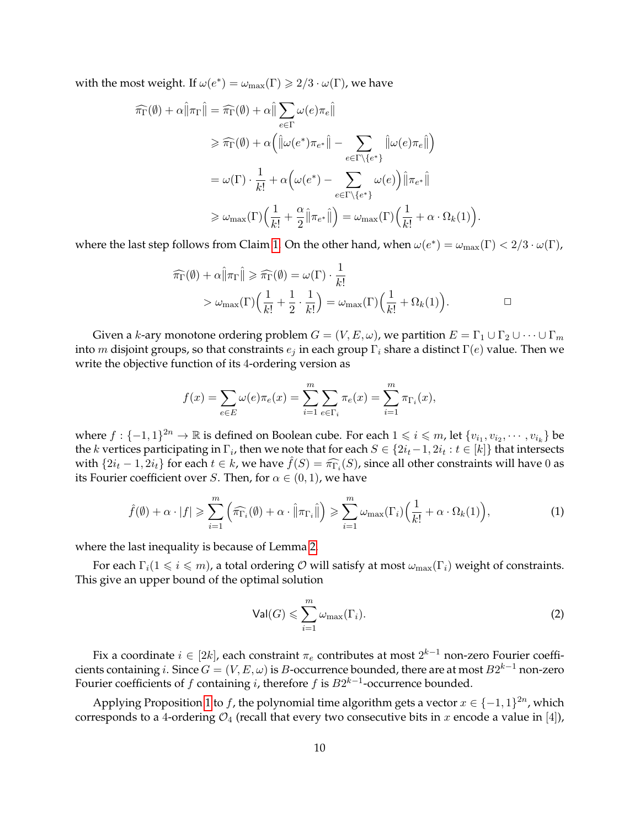with the most weight. If  $\omega(e^*) = \omega_{\text{max}}(\Gamma) \geqslant 2/3 \cdot \omega(\Gamma)$ , we have

$$
\begin{split} \widehat{\pi_{\Gamma}}(\emptyset) + \alpha \|\pi_{\Gamma}\| &= \widehat{\pi_{\Gamma}}(\emptyset) + \alpha \|\sum_{e \in \Gamma} \omega(e)\pi_{e}\| \\ &\geq \widehat{\pi_{\Gamma}}(\emptyset) + \alpha \Big(\|\omega(e^{*})\pi_{e^{*}}\| - \sum_{e \in \Gamma\setminus\{e^{*}\}} \|\omega(e)\pi_{e}\|\Big) \\ &= \omega(\Gamma) \cdot \frac{1}{k!} + \alpha \Big(\omega(e^{*}) - \sum_{e \in \Gamma\setminus\{e^{*}\}} \omega(e)\Big)\|\pi_{e^{*}}\| \\ &\geq \omega_{\max}(\Gamma) \Big(\frac{1}{k!} + \frac{\alpha}{2}\|\pi_{e^{*}}\|\Big) = \omega_{\max}(\Gamma) \Big(\frac{1}{k!} + \alpha \cdot \Omega_{k}(1)\Big). \end{split}
$$

where the last step follows from Claim [1.](#page-8-0) On the other hand, when  $\omega(e^*) = \omega_{\max}(\Gamma) < 2/3 \cdot \omega(\Gamma)$ ,

$$
\widehat{\pi_{\Gamma}}(\emptyset) + \alpha \widehat{\|\pi_{\Gamma}\|} \geqslant \widehat{\pi_{\Gamma}}(\emptyset) = \omega(\Gamma) \cdot \frac{1}{k!} > \omega_{\max}(\Gamma) \Big(\frac{1}{k!} + \frac{1}{2} \cdot \frac{1}{k!}\Big) = \omega_{\max}(\Gamma) \Big(\frac{1}{k!} + \Omega_k(1)\Big).
$$

Given a k-ary monotone ordering problem  $G = (V, E, \omega)$ , we partition  $E = \Gamma_1 \cup \Gamma_2 \cup \cdots \cup \Gamma_m$ into m disjoint groups, so that constraints  $e_j$  in each group  $\Gamma_i$  share a distinct  $\Gamma(e)$  value. Then we write the objective function of its 4-ordering version as

$$
f(x) = \sum_{e \in E} \omega(e)\pi_e(x) = \sum_{i=1}^m \sum_{e \in \Gamma_i} \pi_e(x) = \sum_{i=1}^m \pi_{\Gamma_i}(x),
$$

where  $f: \{-1,1\}^{2n} \to \mathbb{R}$  is defined on Boolean cube. For each  $1 \leqslant i \leqslant m$ , let  $\{v_{i_1}, v_{i_2}, \cdots, v_{i_k}\}$  be the  $k$  vertices participating in  $\Gamma_i$ , then we note that for each  $S \in \{2i_t-1, 2i_t : t \in [k]\}$  that intersects with  $\{2i_t - 1, 2i_t\}$  for each  $t \in k$ , we have  $\hat{f}(S) = \widehat{\pi}_{\Gamma_i}(S)$ , since all other constraints will have 0 as its Fourier coefficient over *S*. Then, for  $\alpha \in (0,1)$ , we have

<span id="page-9-0"></span>
$$
\hat{f}(\emptyset) + \alpha \cdot |f| \geqslant \sum_{i=1}^{m} \left( \widehat{\pi}_{\Gamma_i}(\emptyset) + \alpha \cdot \widehat{\|\pi_{\Gamma_i}\|} \right) \geqslant \sum_{i=1}^{m} \omega_{\max}(\Gamma_i) \left( \frac{1}{k!} + \alpha \cdot \Omega_k(1) \right),\tag{1}
$$

where the last inequality is because of Lemma [2.](#page-8-1)

For each  $\Gamma_i(1 \leq i \leq m)$ , a total ordering O will satisfy at most  $\omega_{\text{max}}(\Gamma_i)$  weight of constraints. This give an upper bound of the optimal solution

<span id="page-9-1"></span>
$$
\mathsf{Val}(G) \leqslant \sum_{i=1}^{m} \omega_{\max}(\Gamma_i). \tag{2}
$$

Fix a coordinate  $i \in [2k]$ , each constraint  $\pi_e$  contributes at most  $2^{k-1}$  non-zero Fourier coefficients containing  $i.$  Since  $G=(V,E,\omega)$  is  $B$ -occurrence bounded, there are at most  $B2^{k-1}$  non-zero Fourier coefficients of  $f$  containing  $i$ , therefore  $f$  is  $B2^{k-1}$ -occurrence bounded.

Applying Proposition [1](#page-5-2) to f, the polynomial time algorithm gets a vector  $x \in \{-1,1\}^{2n}$ , which corresponds to a 4-ordering  $\mathcal{O}_4$  (recall that every two consecutive bits in x encode a value in [4]),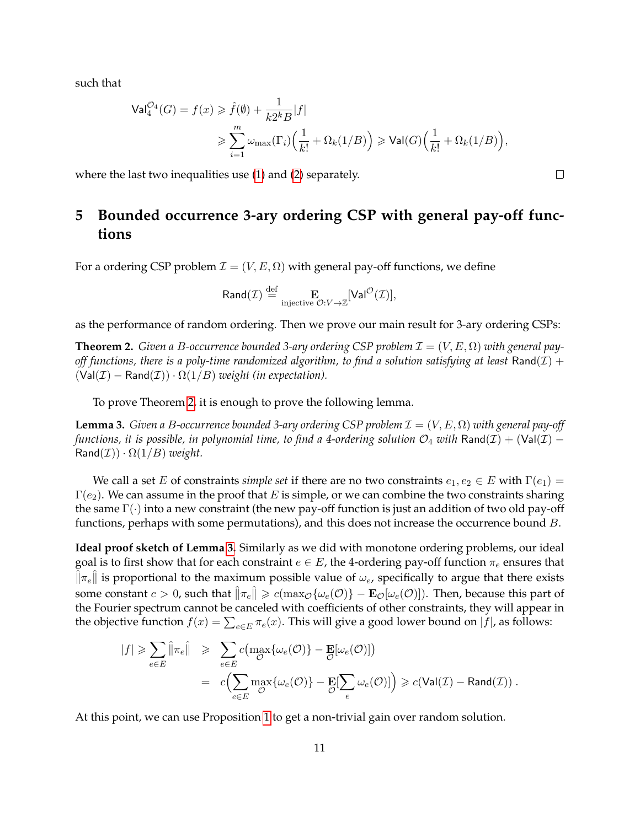such that

$$
\begin{split} \mathsf{Val}_4^{\mathcal{O}_4}(G) &= f(x) \geqslant \hat{f}(\emptyset) + \frac{1}{k2^k B} |f| \\ &\geqslant \sum_{i=1}^m \omega_{\max}(\Gamma_i) \Big(\frac{1}{k!} + \Omega_k(1/B)\Big) \geqslant \mathsf{Val}(G) \Big(\frac{1}{k!} + \Omega_k(1/B)\Big), \end{split}
$$

where the last two inequalities use [\(1\)](#page-9-0) and [\(2\)](#page-9-1) separately.

# <span id="page-10-0"></span>**5 Bounded occurrence 3-ary ordering CSP with general pay-off functions**

For a ordering CSP problem  $\mathcal{I} = (V, E, \Omega)$  with general pay-off functions, we define

$$
\mathsf{Rand}(\mathcal{I}) \stackrel{\text{def}}{=} \mathop{\mathbf{E}}_{\text{injective } \mathcal{O}: V \to \mathbb{Z}}[\mathsf{Val}^{\mathcal{O}}(\mathcal{I})],
$$

as the performance of random ordering. Then we prove our main result for 3-ary ordering CSPs:

<span id="page-10-1"></span>**Theorem 2.** *Given a B-occurrence bounded 3-ary ordering CSP problem*  $\mathcal{I} = (V, E, \Omega)$  *with general payoff functions, there is a poly-time randomized algorithm, to find a solution satisfying at least* Rand( $I$ ) +  $(Val(\mathcal{I}) - Rand(\mathcal{I})) \cdot \Omega(1/B)$  *weight (in expectation).* 

To prove Theorem [2,](#page-10-1) it is enough to prove the following lemma.

<span id="page-10-2"></span>**Lemma 3.** *Given a B-occurrence bounded 3-ary ordering CSP problem*  $\mathcal{I} = (V, E, \Omega)$  *with general pay-off functions, it is possible, in polynomial time, to find a 4-ordering solution*  $\mathcal{O}_4$  *with Rand(I) + (Val(I) –*  $\text{Rand}(\mathcal{I})\cdot \Omega(1/B)$  *weight.* 

We call a set E of constraints *simple set* if there are no two constraints  $e_1, e_2 \in E$  with  $\Gamma(e_1) =$  $\Gamma(e_2)$ . We can assume in the proof that E is simple, or we can combine the two constraints sharing the same  $\Gamma(\cdot)$  into a new constraint (the new pay-off function is just an addition of two old pay-off functions, perhaps with some permutations), and this does not increase the occurrence bound B.

**Ideal proof sketch of Lemma [3.](#page-10-2)** Similarly as we did with monotone ordering problems, our ideal goal is to first show that for each constraint  $e \in E$ , the 4-ordering pay-off function  $\pi_e$  ensures that  $\|\pi_e\|$  is proportional to the maximum possible value of  $\omega_e$ , specifically to argue that there exists some constant  $c > 0$ , such that  $\|\pi_e\| \geqslant c(\max_{\mathcal{O}}\{\omega_e(\mathcal{O})\}-\mathbf{E}_{\mathcal{O}}[\omega_e(\mathcal{O})])$ . Then, because this part of the Fourier spectrum cannot be canceled with coefficients of other constraints, they will appear in the objective function  $f(x) = \sum_{e \in E} \pi_e(x)$ . This will give a good lower bound on  $|f|$ , as follows:

$$
|f| \geqslant \sum_{e \in E} \|\pi_e\| \geqslant \sum_{e \in E} c(\max_{\mathcal{O}}\{\omega_e(\mathcal{O})\} - \mathbf{E}[\omega_e(\mathcal{O})])
$$
  

$$
= c\Bigl(\sum_{e \in E} \max_{\mathcal{O}}\{\omega_e(\mathcal{O})\} - \mathbf{E}[\sum_{e} \omega_e(\mathcal{O})]\Bigr) \geqslant c(\text{Val}(\mathcal{I}) - \text{Rand}(\mathcal{I})) .
$$

At this point, we can use Proposition [1](#page-5-2) to get a non-trivial gain over random solution.

 $\Box$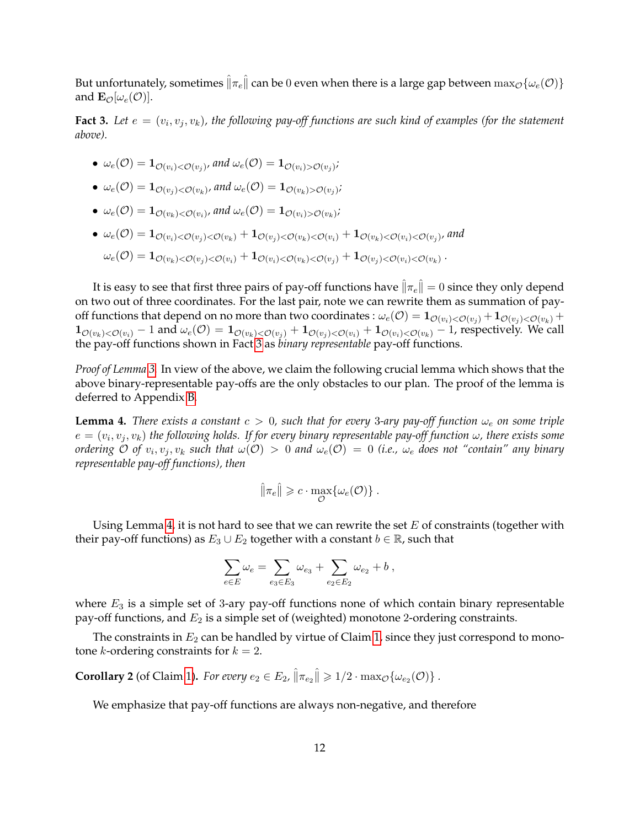But unfortunately, sometimes  $\hat\|pi_e\hat\|$  can be  $0$  even when there is a large gap between  $\max_{\cal O}\{\omega_e({\cal O})\}$ and  $\mathbf{E}_{\mathcal{O}}[\omega_e(\mathcal{O})]$ .

<span id="page-11-0"></span>**Fact 3.** Let  $e = (v_i, v_j, v_k)$ , the following pay-off functions are such kind of examples (for the statement *above).*

- $\omega_e(\mathcal{O}) = \mathbf{1}_{\mathcal{O}(v_i) < \mathcal{O}(v_j)}$ , and  $\omega_e(\mathcal{O}) = \mathbf{1}_{\mathcal{O}(v_i) > \mathcal{O}(v_j)}$ ;
- $\bullet \ \omega_e(\mathcal{O}) = \mathbf{1}_{\mathcal{O}(v_j)<\mathcal{O}(v_k)}$ , and  $\omega_e(\mathcal{O}) = \mathbf{1}_{\mathcal{O}(v_k)>\mathcal{O}(v_j)}$ ;
- $\omega_e(\mathcal{O}) = \mathbf{1}_{\mathcal{O}(v_k)<\mathcal{O}(v_i)}$ , and  $\omega_e(\mathcal{O}) = \mathbf{1}_{\mathcal{O}(v_i)> \mathcal{O}(v_k)}$ ;
- $\bullet\;\omega_e(\mathcal{O})=\mathbf{1}_{\mathcal{O}(v_i)<\mathcal{O}(v_j)<\mathcal{O}(v_k)}+\mathbf{1}_{\mathcal{O}(v_j)<\mathcal{O}(v_k)<\mathcal{O}(v_i)}+\mathbf{1}_{\mathcal{O}(v_k)<\mathcal{O}(v_i)<\mathcal{O}(v_j)}$ , and

$$
\omega_e(\mathcal{O}) = \mathbf{1}_{\mathcal{O}(v_k) < \mathcal{O}(v_j) < \mathcal{O}(v_i)} + \mathbf{1}_{\mathcal{O}(v_i) < \mathcal{O}(v_k) < \mathcal{O}(v_j)} + \mathbf{1}_{\mathcal{O}(v_j) < \mathcal{O}(v_i) < \mathcal{O}(v_k)}.
$$

It is easy to see that first three pairs of pay-off functions have  $\|\pi_e\|=0$  since they only depend on two out of three coordinates. For the last pair, note we can rewrite them as summation of payoff functions that depend on no more than two coordinates :  $\omega_e(\mathcal{O}) = \mathbf{1}_{\mathcal{O}(v_i) < \mathcal{O}(v_j)} + \mathbf{1}_{\mathcal{O}(v_j) < \mathcal{O}(v_k)} +$  $1_{\mathcal{O}(v_k)<\mathcal{O}(v_i)}-1$  and  $\omega_e(\mathcal{O})=1_{\mathcal{O}(v_k)<\mathcal{O}(v_j)}+1_{\mathcal{O}(v_j)<\mathcal{O}(v_i)}+1_{\mathcal{O}(v_i)<\mathcal{O}(v_k)}-1$ , respectively. We call the pay-off functions shown in Fact [3](#page-11-0) as *binary representable* pay-off functions.

*Proof of Lemma [3.](#page-10-2)* In view of the above, we claim the following crucial lemma which shows that the above binary-representable pay-offs are the only obstacles to our plan. The proof of the lemma is deferred to Appendix [B.](#page-15-0)

<span id="page-11-1"></span>**Lemma 4.** *There exists a constant*  $c > 0$ *, such that for every 3-ary pay-off function*  $\omega_e$  *on some triple*  $e = (v_i, v_j, v_k)$  the following holds. If for every binary representable pay-off function  $\omega$ , there exists some  $\alpha$  *ordering*  $\mathcal O$  *of*  $v_i, v_j, v_k$  *such that*  $\omega(\mathcal O)>0$  *and*  $\omega_e(\mathcal O)=0$  *(i.e.,*  $\omega_e$  *does not "contain" any binary representable pay-off functions), then*

$$
\|\pi_e\| \geq c \cdot \max_{\mathcal{O}}\{\omega_e(\mathcal{O})\}.
$$

Using Lemma [4,](#page-11-1) it is not hard to see that we can rewrite the set  $E$  of constraints (together with their pay-off functions) as  $E_3 \cup E_2$  together with a constant  $b \in \mathbb{R}$ , such that

$$
\sum_{e\in E}\omega_e=\sum_{e_3\in E_3}\omega_{e_3}+\sum_{e_2\in E_2}\omega_{e_2}+b\ ,
$$

where  $E_3$  is a simple set of 3-ary pay-off functions none of which contain binary representable pay-off functions, and  $E_2$  is a simple set of (weighted) monotone 2-ordering constraints.

The constraints in  $E_2$  can be handled by virtue of Claim [1,](#page-8-0) since they just correspond to monotone *k*-ordering constraints for  $k = 2$ .

<span id="page-11-2"></span>**Corollary 2** (of Claim [1\)](#page-8-0). For every  $e_2 \in E_2$ ,  $\|\pi_{e_2}\| \geq 1/2 \cdot \max_{\mathcal{O}} \{ \omega_{e_2}(\mathcal{O}) \}$ .

We emphasize that pay-off functions are always non-negative, and therefore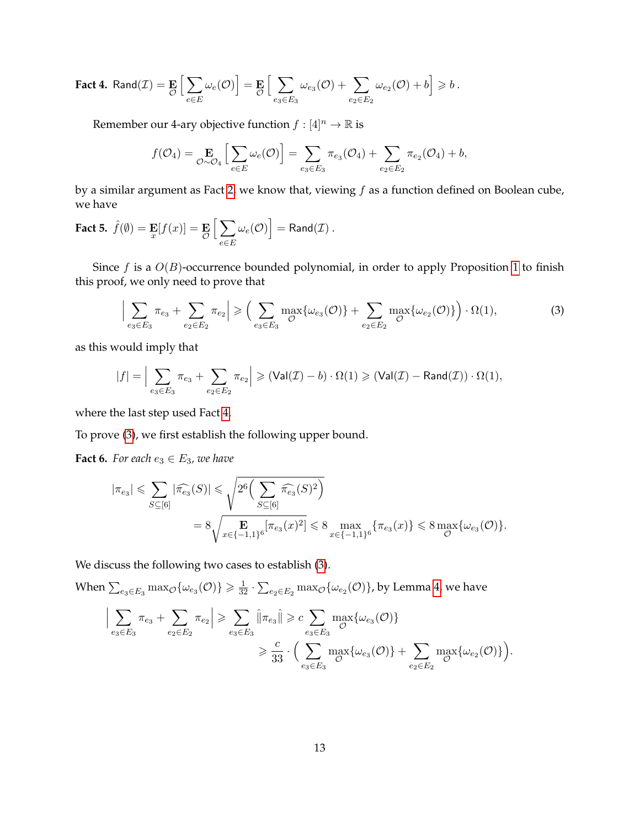<span id="page-12-0"></span>**Fact 4.**  $\mathsf{Rand}(\mathcal{I}) = \mathop{\mathbf{E}}_\mathcal{O}$  $\sqrt{ }$ e∈E  $\omega_e(\mathcal{O})\Big]=\mathop{\mathbf{E}}_\mathcal{O}$  $\sqrt{ }$  $e_3 \in E_3$  $\omega_{e_3}(\mathcal{O}) + \sum$  $e_2 \in E_2$  $\omega_{e_2}(\mathcal{O})+b \Bigr] \geqslant b \, .$ 

Remember our 4-ary objective function  $f : [4]^n \to \mathbb{R}$  is

$$
f(\mathcal{O}_4) = \underset{\mathcal{O} \sim \mathcal{O}_4}{\mathbf{E}} \left[ \sum_{e \in E} \omega_e(\mathcal{O}) \right] = \sum_{e_3 \in E_3} \pi_{e_3}(\mathcal{O}_4) + \sum_{e_2 \in E_2} \pi_{e_2}(\mathcal{O}_4) + b,
$$

by a similar argument as Fact [2,](#page-7-3) we know that, viewing  $f$  as a function defined on Boolean cube, we have

**Fact 5.** 
$$
\hat{f}(\emptyset) = \mathbf{E}[f(x)] = \mathbf{E} \left[ \sum_{e \in E} \omega_e(\mathcal{O}) \right] = \text{Rand}(\mathcal{I})
$$
.

Since f is a  $O(B)$ -occurrence bounded polynomial, in order to apply Proposition [1](#page-5-2) to finish this proof, we only need to prove that

<span id="page-12-1"></span>
$$
\Big| \sum_{e_3 \in E_3} \pi_{e_3} + \sum_{e_2 \in E_2} \pi_{e_2} \Big| \geqslant \Big( \sum_{e_3 \in E_3} \max_{\mathcal{O}} \{ \omega_{e_3}(\mathcal{O}) \} + \sum_{e_2 \in E_2} \max_{\mathcal{O}} \{ \omega_{e_2}(\mathcal{O}) \} \Big) \cdot \Omega(1), \tag{3}
$$

as this would imply that

$$
|f| = \Big|\sum_{e_3 \in E_3} \pi_{e_3} + \sum_{e_2 \in E_2} \pi_{e_2}\Big| \geqslant (\mathsf{Val}(\mathcal{I}) - b) \cdot \Omega(1) \geqslant (\mathsf{Val}(\mathcal{I}) - \mathsf{Rand}(\mathcal{I})) \cdot \Omega(1),
$$

where the last step used Fact [4.](#page-12-0)

To prove [\(3\)](#page-12-1), we first establish the following upper bound.

<span id="page-12-2"></span>**Fact 6.** *For each*  $e_3 \in E_3$ *, we have* 

 $\overline{\phantom{a}}$ I  $\overline{\phantom{a}}$ 

$$
|\pi_{e_3}| \leqslant \sum_{S \subseteq [6]} |\widehat{\pi_{e_3}}(S)| \leqslant \sqrt{2^6 \Big( \sum_{S \subseteq [6]} \widehat{\pi_{e_3}}(S)^2 \Big)} \\
= 8 \sqrt{\mathop{\mathbf{E}}_{x \in \{-1,1\}^6} [\pi_{e_3}(x)^2]} \leqslant 8 \max_{x \in \{-1,1\}^6} {\{\pi_{e_3}(x)\}} \leqslant 8 \max_{\mathcal{O}} {\{\omega_{e_3}(\mathcal{O})\}}.
$$

We discuss the following two cases to establish [\(3\)](#page-12-1).

When  $\sum_{e_3\in E_3}\max_\mathcal{O}\{\omega_{e_3}(\mathcal{O})\}\geqslant\frac{1}{32}\cdot\sum_{e_2\in E_2}\max_\mathcal{O}\{\omega_{e_2}(\mathcal{O})\}$ , by Lemma [4,](#page-11-1) we have

$$
\sum_{e_3 \in E_3} \pi_{e_3} + \sum_{e_2 \in E_2} \pi_{e_2} \Big| \geqslant \sum_{e_3 \in E_3} \|\pi_{e_3}\| \geqslant c \sum_{e_3 \in E_3} \max_{\mathcal{O}} \{\omega_{e_3}(\mathcal{O})\}
$$

$$
\geqslant \frac{c}{33} \cdot \Big( \sum_{e_3 \in E_3} \max_{\mathcal{O}} \{\omega_{e_3}(\mathcal{O})\} + \sum_{e_2 \in E_2} \max_{\mathcal{O}} \{\omega_{e_2}(\mathcal{O})\} \Big).
$$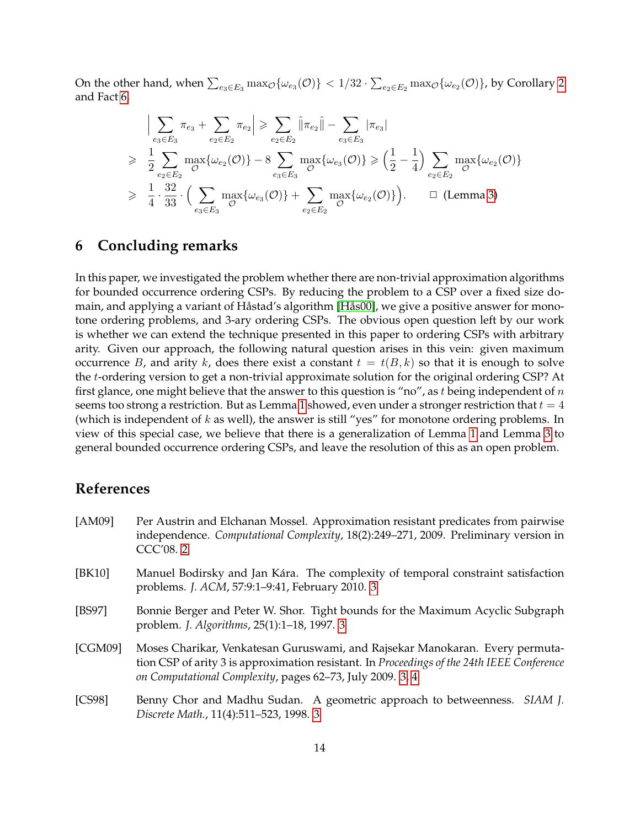<span id="page-13-5"></span>On the other hand, when  $\sum_{e_3\in E_3}\max_\mathcal{O}\{\omega_{e_3}(\mathcal{O})\}< 1/32\cdot \sum_{e_2\in E_2}\max_\mathcal{O}\{\omega_{e_2}(\mathcal{O})\}$ , by Corollary [2](#page-11-2) and Fact [6,](#page-12-2)

$$
\left| \sum_{e_3 \in E_3} \pi_{e_3} + \sum_{e_2 \in E_2} \pi_{e_2} \right| \geq \sum_{e_2 \in E_2} \left| \pi_{e_2} \right| - \sum_{e_3 \in E_3} |\pi_{e_3}|
$$
  
\n
$$
\geq \frac{1}{2} \sum_{e_2 \in E_2} \max_{\mathcal{O}} \{ \omega_{e_2}(\mathcal{O}) \} - 8 \sum_{e_3 \in E_3} \max_{\mathcal{O}} \{ \omega_{e_3}(\mathcal{O}) \} \geq \left( \frac{1}{2} - \frac{1}{4} \right) \sum_{e_2 \in E_2} \max_{\mathcal{O}} \{ \omega_{e_2}(\mathcal{O}) \}
$$
  
\n
$$
\geq \frac{1}{4} \cdot \frac{32}{33} \cdot \left( \sum_{e_3 \in E_3} \max_{\mathcal{O}} \{ \omega_{e_3}(\mathcal{O}) \} + \sum_{e_2 \in E_2} \max_{\mathcal{O}} \{ \omega_{e_2}(\mathcal{O}) \} \right). \qquad \Box \text{ (Lemma 3)}
$$

# **6 Concluding remarks**

In this paper, we investigated the problem whether there are non-trivial approximation algorithms for bounded occurrence ordering CSPs. By reducing the problem to a CSP over a fixed size domain, and applying a variant of Håstad's algorithm [Hås00], we give a positive answer for monotone ordering problems, and 3-ary ordering CSPs. The obvious open question left by our work is whether we can extend the technique presented in this paper to ordering CSPs with arbitrary arity. Given our approach, the following natural question arises in this vein: given maximum occurrence B, and arity k, does there exist a constant  $t = t(B, k)$  so that it is enough to solve the t-ordering version to get a non-trivial approximate solution for the original ordering CSP? At first glance, one might believe that the answer to this question is "no", as t being independent of  $n$ seems too strong a restriction. But as Lemma [1](#page-7-2) showed, even under a stronger restriction that  $t = 4$ (which is independent of  $k$  as well), the answer is still "yes" for monotone ordering problems. In view of this special case, we believe that there is a generalization of Lemma [1](#page-7-2) and Lemma [3](#page-10-2) to general bounded occurrence ordering CSPs, and leave the resolution of this as an open problem.

### **References**

<span id="page-13-4"></span><span id="page-13-3"></span><span id="page-13-2"></span><span id="page-13-1"></span><span id="page-13-0"></span>[AM09] Per Austrin and Elchanan Mossel. Approximation resistant predicates from pairwise independence. *Computational Complexity*, 18(2):249–271, 2009. Preliminary version in CCC'08. [2](#page-1-0) [BK10] Manuel Bodirsky and Jan Kára. The complexity of temporal constraint satisfaction problems. *J. ACM*, 57:9:1–9:41, February 2010. [3](#page-2-1) [BS97] Bonnie Berger and Peter W. Shor. Tight bounds for the Maximum Acyclic Subgraph problem. *J. Algorithms*, 25(1):1–18, 1997. [3](#page-2-1) [CGM09] Moses Charikar, Venkatesan Guruswami, and Rajsekar Manokaran. Every permutation CSP of arity 3 is approximation resistant. In *Proceedings of the 24th IEEE Conference on Computational Complexity*, pages 62–73, July 2009. [3,](#page-2-1) [4](#page-3-1) [CS98] Benny Chor and Madhu Sudan. A geometric approach to betweenness. *SIAM J. Discrete Math.*, 11(4):511–523, 1998. [3](#page-2-1)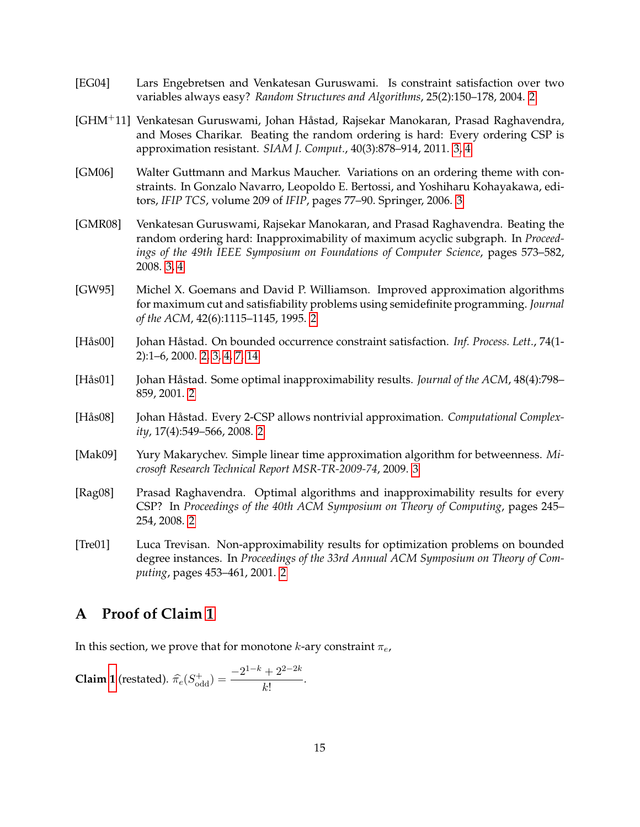- <span id="page-14-3"></span>[EG04] Lars Engebretsen and Venkatesan Guruswami. Is constraint satisfaction over two variables always easy? *Random Structures and Algorithms*, 25(2):150–178, 2004. [2](#page-1-0)
- <span id="page-14-9"></span>[GHM<sup>+</sup>11] Venkatesan Guruswami, Johan Håstad, Rajsekar Manokaran, Prasad Raghavendra, and Moses Charikar. Beating the random ordering is hard: Every ordering CSP is approximation resistant. *SIAM J. Comput.*, 40(3):878–914, 2011. [3,](#page-2-1) [4](#page-3-1)
- <span id="page-14-7"></span>[GM06] Walter Guttmann and Markus Maucher. Variations on an ordering theme with constraints. In Gonzalo Navarro, Leopoldo E. Bertossi, and Yoshiharu Kohayakawa, editors, *IFIP TCS*, volume 209 of *IFIP*, pages 77–90. Springer, 2006. [3](#page-2-1)
- <span id="page-14-8"></span>[GMR08] Venkatesan Guruswami, Rajsekar Manokaran, and Prasad Raghavendra. Beating the random ordering hard: Inapproximability of maximum acyclic subgraph. In *Proceedings of the 49th IEEE Symposium on Foundations of Computer Science*, pages 573–582, 2008. [3,](#page-2-1) [4](#page-3-1)
- <span id="page-14-2"></span>[GW95] Michel X. Goemans and David P. Williamson. Improved approximation algorithms for maximum cut and satisfiability problems using semidefinite programming. *Journal of the ACM*, 42(6):1115–1145, 1995. [2](#page-1-0)
- <span id="page-14-5"></span>[Hås00] Johan Håstad. On bounded occurrence constraint satisfaction. *Inf. Process. Lett.*, 74(1-2):1–6, 2000. [2,](#page-1-0) [3,](#page-2-1) [4,](#page-3-1) [7,](#page-6-0) [14](#page-13-5)
- <span id="page-14-1"></span>[Hås01] Johan Håstad. Some optimal inapproximability results. *Journal of the ACM*, 48(4):798– 859, 2001. [2](#page-1-0)
- <span id="page-14-4"></span>[Hås08] Johan Håstad. Every 2-CSP allows nontrivial approximation. *Computational Complexity*, 17(4):549–566, 2008. [2](#page-1-0)
- <span id="page-14-10"></span>[Mak09] Yury Makarychev. Simple linear time approximation algorithm for betweenness. *Microsoft Research Technical Report MSR-TR-2009-74*, 2009. [3](#page-2-1)
- <span id="page-14-0"></span>[Rag08] Prasad Raghavendra. Optimal algorithms and inapproximability results for every CSP? In *Proceedings of the 40th ACM Symposium on Theory of Computing*, pages 245– 254, 2008. [2](#page-1-0)
- <span id="page-14-6"></span>[Tre01] Luca Trevisan. Non-approximability results for optimization problems on bounded degree instances. In *Proceedings of the 33rd Annual ACM Symposium on Theory of Computing*, pages 453–461, 2001. [2](#page-1-0)

### <span id="page-14-11"></span>**A Proof of Claim [1](#page-8-0)**

In this section, we prove that for monotone k-ary constraint  $\pi_e$ ,

**Claim [1](#page-8-0)** (restated).  $\hat{\pi_e}(S_{\text{odd}}^+) = \frac{-2^{1-k} + 2^{2-2k}}{k!}$  $\frac{1}{k!}$ .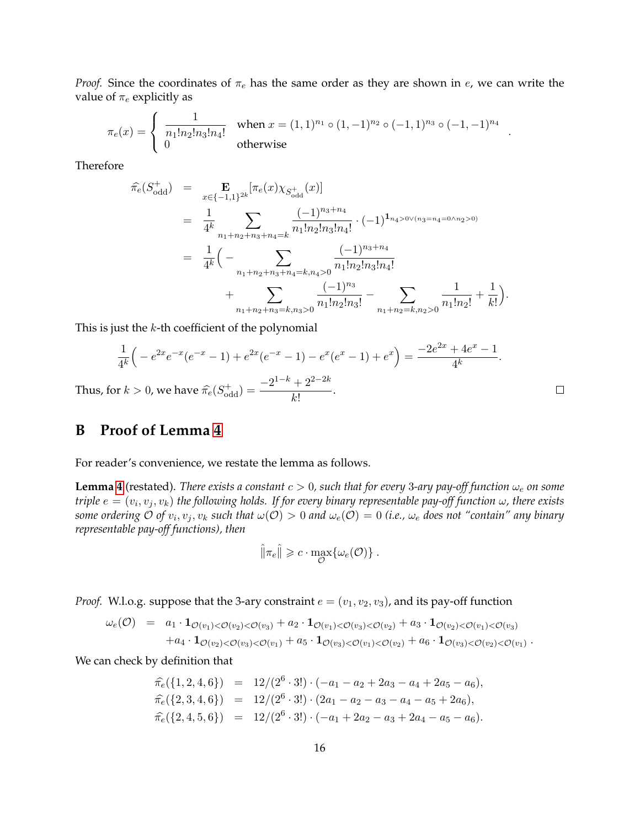*Proof.* Since the coordinates of  $\pi_e$  has the same order as they are shown in  $e$ , we can write the value of  $\pi_e$  explicitly as

.

$$
\pi_e(x) = \begin{cases} \frac{1}{n_1! n_2! n_3! n_4!} & \text{when } x = (1, 1)^{n_1} \circ (1, -1)^{n_2} \circ (-1, 1)^{n_3} \circ (-1, -1)^{n_4} \\ 0 & \text{otherwise} \end{cases}
$$

Therefore

$$
\begin{split}\n\widehat{\pi_e}(S_{\text{odd}}^+) &= \mathop{\mathbf{E}}_{x \in \{-1,1\}^{2k}}[\pi_e(x)\chi_{S_{\text{odd}}^+}(x)] \\
&= \frac{1}{4^k} \sum_{n_1+n_2+n_3+n_4=k} \frac{(-1)^{n_3+n_4}}{n_1! n_2! n_3! n_4!} \cdot (-1)^{1_{n_4} > 0 \vee (n_3 = n_4 = 0 \wedge n_2 > 0)} \\
&= \frac{1}{4^k} \left( - \sum_{n_1+n_2+n_3+n_4=k, n_4 > 0} \frac{(-1)^{n_3+n_4}}{n_1! n_2! n_3! n_4!} + \sum_{n_1+n_2+n_3=k, n_3 > 0} \frac{(-1)^{n_3}}{n_1! n_2! n_3!} - \sum_{n_1+n_2=k, n_2 > 0} \frac{1}{n_1! n_2!} + \frac{1}{k!} \right).\n\end{split}
$$

This is just the  $k$ -th coefficient of the polynomial

$$
\frac{1}{4^k} \left( -e^{2x} e^{-x} (e^{-x} - 1) + e^{2x} (e^{-x} - 1) - e^x (e^x - 1) + e^x \right) = \frac{-2e^{2x} + 4e^x - 1}{4^k}.
$$
  
for  $k > 0$ , we have  $\hat{\pi}_e(S_{\text{odd}}^+) = \frac{-2^{1-k} + 2^{2-2k}}{4^k}.$ 

Thus, for  $k > 0$ , we have  $\widehat{\pi}_e(S_{\text{odd}}^+) = \frac{-2}{k}$  $k!$ 

## <span id="page-15-0"></span>**B Proof of Lemma [4](#page-11-1)**

For reader's convenience, we restate the lemma as follows.

**Lemma** [4](#page-11-1) (restated). *There exists a constant*  $c > 0$ , such that for every 3-ary pay-off function  $\omega_e$  on some triple  $e=(v_i,v_j,v_k)$  the following holds. If for every binary representable pay-off function  $\omega$ , there exists some ordering  $\cal O$  of  $v_i, v_j, v_k$  such that  $\omega({\cal O})>0$  and  $\omega_e({\cal O})=0$  (i.e.,  $\omega_e$  does not "contain" any binary *representable pay-off functions), then*

$$
\|\pi_e\| \geqslant c \cdot \max_{\mathcal{O}}\{\omega_e(\mathcal{O})\}.
$$

*Proof.* W.l.o.g. suppose that the 3-ary constraint  $e = (v_1, v_2, v_3)$ , and its pay-off function

$$
\begin{array}{lll} \omega_e(\mathcal{O}) &=& a_1 \cdot \mathbf{1}_{\mathcal{O}(v_1) < \mathcal{O}(v_2) < \mathcal{O}(v_3)} + a_2 \cdot \mathbf{1}_{\mathcal{O}(v_1) < \mathcal{O}(v_3) < \mathcal{O}(v_2)} + a_3 \cdot \mathbf{1}_{\mathcal{O}(v_2) < \mathcal{O}(v_1) < \mathcal{O}(v_3)} \\ & & + a_4 \cdot \mathbf{1}_{\mathcal{O}(v_2) < \mathcal{O}(v_3) < \mathcal{O}(v_1)} + a_5 \cdot \mathbf{1}_{\mathcal{O}(v_3) < \mathcal{O}(v_1) < \mathcal{O}(v_2)} + a_6 \cdot \mathbf{1}_{\mathcal{O}(v_3) < \mathcal{O}(v_2) < \mathcal{O}(v_1)} \, .\end{array}
$$

We can check by definition that

$$
\begin{aligned}\n\widehat{\pi_e}(\{1,2,4,6\}) &= 12/(2^6 \cdot 3!) \cdot (-a_1 - a_2 + 2a_3 - a_4 + 2a_5 - a_6), \\
\widehat{\pi_e}(\{2,3,4,6\}) &= 12/(2^6 \cdot 3!) \cdot (2a_1 - a_2 - a_3 - a_4 - a_5 + 2a_6), \\
\widehat{\pi_e}(\{2,4,5,6\}) &= 12/(2^6 \cdot 3!) \cdot (-a_1 + 2a_2 - a_3 + 2a_4 - a_5 - a_6).\n\end{aligned}
$$